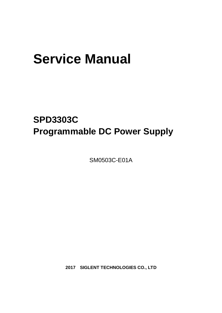# **Service Manual**

## **SPD3303C Programmable DC Power Supply**

SM0503C-E01A

**2017 SIGLENT TECHNOLOGIES CO., LTD**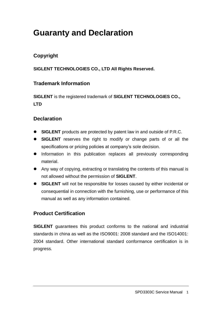## <span id="page-2-0"></span>**Guaranty and Declaration**

### **Copyright**

**SIGLENT TECHNOLOGIES CO., LTD All Rights Reserved.**

#### **Trademark Information**

**SIGLENT** is the registered trademark of **SIGLENT TECHNOLOGIES CO., LTD**

#### **Declaration**

- **SIGLENT** products are protected by patent law in and outside of P.R.C.
- **SIGLENT** reserves the right to modify or change parts of or all the specifications or pricing policies at company's sole decision.
- $\bullet$  Information in this publication replaces all previously corresponding material.
- Any way of copying, extracting or translating the contents of this manual is not allowed without the permission of **SIGLENT**.
- **SIGLENT** will not be responsible for losses caused by either incidental or consequential in connection with the furnishing, use or performance of this manual as well as any information contained.

### **Product Certification**

**SIGLENT** guarantees this product conforms to the national and industrial standards in china as well as the ISO9001: 2008 standard and the ISO14001: 2004 standard. Other international standard conformance certification is in progress.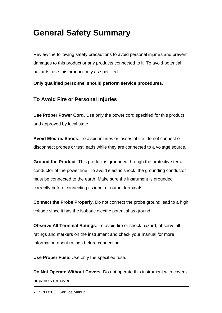## <span id="page-3-0"></span>**General Safety Summary**

Review the following safety precautions to avoid personal injuries and prevent damages to this product or any products connected to it. To avoid potential hazards, use this product only as specified.

**Only qualified personnel should perform service procedures.**

#### **To Avoid Fire or Personal Injuries**

**Use Proper Power Cord**. Use only the power cord specified for this product and approved by local state.

**Avoid Electric Shock**. To avoid injuries or losses of life, do not connect or disconnect probes or test leads while they are connected to a voltage source.

**Ground the Product**. This product is grounded through the protective terra conductor of the power line. To avoid electric shock, the grounding conductor must be connected to the earth. Make sure the instrument is grounded correctly before connecting its input or output terminals.

**Connect the Probe Properly**. Do not connect the probe ground lead to a high voltage since it has the isobaric electric potential as ground.

**Observe All Terminal Ratings**. To avoid fire or shock hazard, observe all ratings and markers on the instrument and check your manual for more information about ratings before connecting.

**Use Proper Fuse**. Use only the specified fuse.

**Do Not Operate Without Covers**. Do not operate this instrument with covers or panels removed.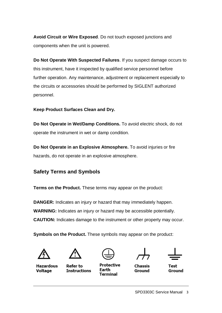**Avoid Circuit or Wire Exposed**. Do not touch exposed junctions and components when the unit is powered.

**Do Not Operate With Suspected Failures**. If you suspect damage occurs to this instrument, have it inspected by qualified service personnel before further operation. Any maintenance, adjustment or replacement especially to the circuits or accessories should be performed by SIGLENT authorized personnel.

**Keep Product Surfaces Clean and Dry.**

**Do Not Operate in Wet/Damp Conditions.** To avoid electric shock, do not operate the instrument in wet or damp condition.

**Do Not Operate in an Explosive Atmosphere.** To avoid injuries or fire hazards, do not operate in an explosive atmosphere.

#### **Safety Terms and Symbols**

**Terms on the Product.** These terms may appear on the product:

**DANGER:** Indicates an injury or hazard that may immediately happen. **WARNING:** Indicates an injury or hazard may be accessible potentially. **CAUTION:** Indicates damage to the instrument or other property may occur.

**Symbols on the Product.** These symbols may appear on the product:





**Hazardous** Voltage

Refer to **Instructions** 



Protective Earth **Terminal** 



Chassis Ground



Test Ground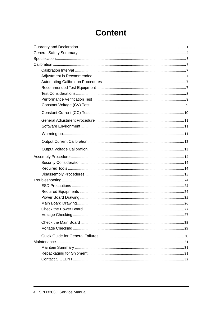## **Content**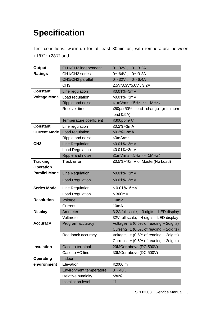## <span id="page-6-0"></span>**Specification**

Test conditions: warm-up for at least 30minitus, with temperature between +18℃~+28℃ and .

| <b>Output</b>        | CH1/CH2 independent            | $0 - 32V$ , $0 - 3.2A$                             |
|----------------------|--------------------------------|----------------------------------------------------|
| <b>Ratings</b>       | CH1/CH2 series                 | $0 \sim 64V$ , $0 \sim 3.2A$                       |
|                      | CH1/CH2 parallel               | $0 \sim 32V$ , $0 \sim 6.4A$                       |
|                      | CH <sub>3</sub>                | 2.5V/3.3V/5.0V, 3.2A                               |
| <b>Constant</b>      | Line regulation                | ≤0.01%+3mV                                         |
|                      | Voltage Mode Load regulation   | ≤0.01%+3mV                                         |
|                      | Ripple and noise               | $\leq 1$ mVrms (5Hz $\sim 1$ MHz)                  |
|                      | Recover time                   | $\leq$ 50µs(50% load change , minimum              |
|                      |                                | load 0.5A)                                         |
|                      | Temperature coefficient        | ≤300ppm/°C                                         |
| <b>Constant</b>      | Line regulation                | ≤0.2%+3mA                                          |
| <b>Current Mode</b>  | Load regulation                | $≤0.2%+3mA$                                        |
|                      | Ripple and noise               | ≤3mArms                                            |
| CH <sub>3</sub>      | Line Regulation                | ≤0.01%+3mV                                         |
|                      | Load Regulation                | ≤0.01%+3mV                                         |
|                      | Ripple and noise               | $\leq 1$ mVrms (5Hz $\sim 1$ MHz)                  |
| <b>Tracking</b>      | Track error                    | ≤0.5%+10mV of Master(No Load)                      |
| <b>Operation</b>     |                                |                                                    |
| <b>Parallel Mode</b> | Line Regulation                | ≤0.01%+3mV                                         |
|                      | <b>Load Regulation</b>         | ≤0.01%+3mV                                         |
| <b>Series Mode</b>   | Line Regulation                | ≤ 0.01%+5mV                                        |
|                      | Load Regulation                | ≤ 300m $V$                                         |
| <b>Resolution</b>    | Voltage                        | 10mV                                               |
|                      | Current                        | 10 <sub>m</sub> A                                  |
| <b>Display</b>       | Ammeter                        | 3.2A full scale,<br>3 digits<br><b>LED</b> display |
|                      | Voltmeter                      | 32V full scale, 4 digits LED display               |
| <b>Accuracy</b>      | Program accuracy               | Voltage: $\pm$ (0.5% of reading + 2digits)         |
|                      |                                | Current: $\pm$ (0.5% of reading + 2digits)         |
|                      | Readback accuracy              | Voltage: $\pm$ (0.5% of reading + 2digits)         |
|                      |                                | Current: $\pm$ (0.5% of reading + 2digits)         |
| <b>Insulation</b>    | Case to terminal               | 20M $\Omega$ or above (DC 500V)                    |
|                      | Case to AC line                | 30MΩor above (DC 500V)                             |
| <b>Operating</b>     | Indoor                         |                                                    |
| environment          | Elevation                      | ≤2000 m                                            |
|                      | <b>Environment temperature</b> | $0 - 40^{\circ}$ C                                 |
|                      | Relative humidity              | ≤80%                                               |
|                      | <b>Installation level</b>      | $\rm II$                                           |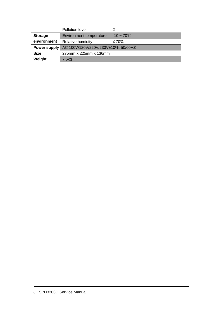|                | Pollution level                     |                         |
|----------------|-------------------------------------|-------------------------|
| <b>Storage</b> | Environment temperature             | $-10 \sim 70^{\circ}$ C |
| environment    | Relative humidity                   | $\leq 70\%$             |
| Power supply   | AC 100V/120V/220V/230V±10%, 50/60HZ |                         |
| <b>Size</b>    | 275mm x 225mm x 136mm               |                         |
| Weight         | 7.5kg                               |                         |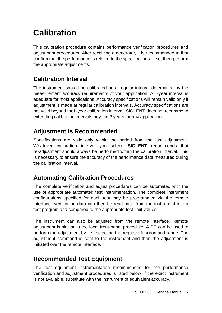## <span id="page-8-0"></span>**Calibration**

This calibration procedure contains performance verification procedures and adjustment procedures. After receiving a generator, it is recommended to first confirm that the performance is related to the specifications. If so, then perform the appropriate adjustments.

## <span id="page-8-1"></span>**Calibration Interval**

The instrument should be calibrated on a regular interval determined by the measurement accuracy requirements of your application. A 1-year interval is adequate for most applications. Accuracy specifications will remain valid only if adjustment is made at regular calibration intervals. Accuracy specifications are not valid beyond the1-year calibration interval. **SIGLENT** does not recommend extending calibration intervals beyond 2 years for any application.

## <span id="page-8-2"></span>**Adjustment is Recommended**

Specifications are valid only within the period from the last adjustment. Whatever calibration interval you select, **SIGLENT** recommends that re-adjustment should always be performed within the calibration interval. This is necessary to ensure the accuracy of the performance data measured during the calibration interval.

## <span id="page-8-3"></span>**Automating Calibration Procedures**

The complete verification and adjust procedures can be automated with the use of appropriate automated test instrumentation. The complete instrument configurations specified for each test may be programmed via the remote interface. Verification data can then be read-back from the instrument into a test program and compared to the appropriate test limit values.

The instrument can also be adjusted from the remote interface. Remote adjustment is similar to the local front-panel procedure. A PC can be used to perform the adjustment by first selecting the required function and range. The adjustment command is sent to the instrument and then the adjustment is initiated over the remote interface.

## <span id="page-8-4"></span>**Recommended Test Equipment**

The test equipment instrumentation recommended for the performance verification and adjustment procedures is listed below. If the exact instrument is not available, substitute with the instrument of equivalent accuracy.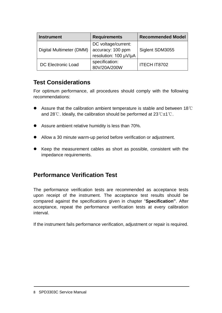| <b>Instrument</b>         | <b>Requirements</b>                                               | <b>Recommended Model</b> |  |
|---------------------------|-------------------------------------------------------------------|--------------------------|--|
| Digital Multimeter (DMM)  | DC voltage/current:<br>accuracy: 100 ppm<br>resolution: 100 µV/µA | Siglent SDM3055          |  |
| <b>DC Electronic Load</b> | specification:<br>80V/20A/200W                                    | ITECH IT8702             |  |

### <span id="page-9-0"></span>**Test Considerations**

For optimum performance, all procedures should comply with the following recommendations:

- Assure that the calibration ambient temperature is stable and between 18℃ and 28℃. Ideally, the calibration should be performed at 23℃±1℃.
- Assure ambient relative humidity is less than 70%.
- Allow a 30 minute warm-up period before verification or adjustment.
- Keep the measurement cables as short as possible, consistent with the impedance requirements.

## <span id="page-9-1"></span>**Performance Verification Test**

The performance verification tests are recommended as acceptance tests upon receipt of the instrument. The acceptance test results should be compared against the specifications given in chapter "**Specification"**. After acceptance, repeat the performance verification tests at every calibration interval.

If the instrument fails performance verification, adjustment or repair is required.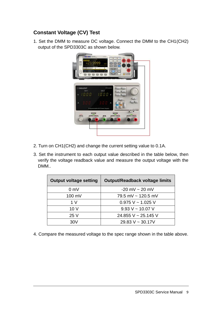### <span id="page-10-0"></span>**Constant Voltage (CV) Test**

1. Set the DMM to measure DC voltage. Connect the DMM to the CH1(CH2) output of the SPD3303C as shown below.



- 2. Turn on CH1(CH2) and change the current setting value to 0.1A.
- 3. Set the instrument to each output value described in the table below, then verify the voltage readback value and measure the output voltage with the DMM..

| <b>Output voltage setting</b> | <b>Output/Readback voltage limits</b> |
|-------------------------------|---------------------------------------|
| $0 \text{ mV}$                | $-20$ mV $\sim$ 20 mV                 |
| 100 mV                        | $79.5$ mV $\sim$ 120.5 mV             |
| 1 V                           | $0.975 V \sim 1.025 V$                |
| 10 V                          | $9.93 V \sim 10.07 V$                 |
| 25 V                          | 24.855 V ~ 25.145 V                   |
| 30V                           | 29.83 V ~ 30.17V                      |

4. Compare the measured voltage to the spec range shown in the table above.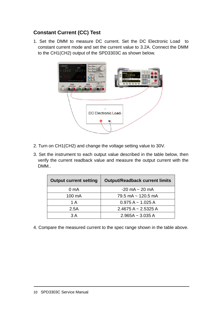#### <span id="page-11-0"></span>**Constant Current (CC) Test**

1. Set the DMM to measure DC current. Set the DC Electronic Load to constant current mode and set the current value to 3.2A. Connect the DMM to the CH1(CH2) output of the SPD3303C as shown below.



- 2. Turn on CH1(CH2) and change the voltage setting value to 30V.
- 3. Set the instrument to each output value described in the table below, then verify the current readback value and measure the output current with the DMM..

| <b>Output current setting</b> | <b>Output/Readback current limits</b> |
|-------------------------------|---------------------------------------|
| 0 mA                          | $-20 \text{ mA} \sim 20 \text{ mA}$   |
| 100 mA                        | 79.5 mA $\sim$ 120.5 mA               |
| 1 A                           | $0.975 A - 1.025 A$                   |
| 2.5A                          | 2.4675 A $\sim$ 2.5325 A              |
| 3 A                           | $2.965A - 3.035A$                     |

4. Compare the measured current to the spec range shown in the table above.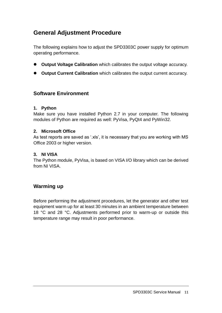## <span id="page-12-0"></span>**General Adjustment Procedure**

The following explains how to adjust the SPD3303C power supply for optimum operating performance.

- **Output Voltage Calibration** which calibrates the output voltage accuracy.
- **Output Current Calibration** which calibrates the output current accuracy.

#### <span id="page-12-1"></span>**Software Environment**

#### **1. Python**

Make sure you have installed Python 2.7 in your computer. The following modules of Python are required as well: PyVisa, PyQt4 and PyWin32.

#### **2. Microsoft Office**

As test reports are saved as '.xls', it is necessary that you are working with MS Office 2003 or higher version.

#### **3. NI VISA**

The Python module, PyVisa, is based on VISA I/O library which can be derived from NI VISA

#### <span id="page-12-2"></span>**Warming up**

Before performing the adjustment procedures, let the generator and other test equipment warm up for at least 30 minutes in an ambient temperature between 18 °C and 28 °C. Adjustments performed prior to warm-up or outside this temperature range may result in poor performance.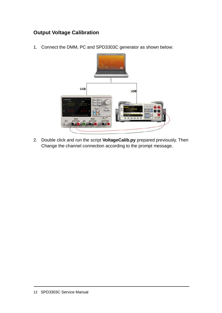### <span id="page-13-0"></span>**Output Voltage Calibration**

1. Connect the DMM, PC and SPD3303C generator as shown below:



2. Double click and run the script **VoltageCalib.py** prepared previously. Then Change the channel connection according to the prompt message.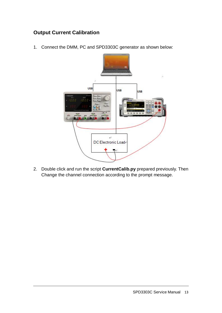### <span id="page-14-0"></span>**Output Current Calibration**

1. Connect the DMM, PC and SPD3303C generator as shown below:



2. Double click and run the script **CurrentCalib.py** prepared previously. Then Change the channel connection according to the prompt message.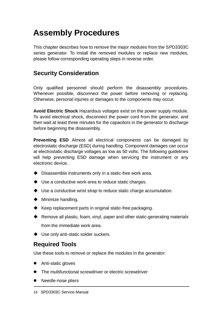## <span id="page-15-0"></span>**Assembly Procedures**

This chapter describes how to remove the major modules from the SPD3303C series generator. To install the removed modules or replace new modules, please follow corresponding operating steps in reverse order.

## <span id="page-15-1"></span>**Security Consideration**

Only qualified personnel should perform the disassembly procedures. Whenever possible, disconnect the power before removing or replacing. Otherwise, personal injuries or damages to the components may occur.

**Avoid Electric Shock** Hazardous voltages exist on the power supply module. To avoid electrical shock, disconnect the power cord from the generator, and then wait at least three minutes for the capacitors in the generator to discharge before beginning the disassembly.

**Preventing ESD** Almost all electrical components can be damaged by electrostatic discharge (ESD) during handling. Component damages can occur at electrostatic discharge voltages as low as 50 volts. The following guidelines will help preventing ESD damage when servicing the instrument or any electronic device.

- ◆ Disassemble instruments only in a static-free work area.
- ◆ Use a conductive work area to reduce static charges.
- ◆ Use a conductive wrist strap to reduce static charge accumulation.
- $\blacklozenge$  Minimize handling.
- $\blacklozenge$  Keep replacement parts in original static-free packaging.
- ◆ Remove all plastic, foam, vinyl, paper and other static-generating materials from the immediate work area.
- ◆ Use only anti-static solder suckers.

### <span id="page-15-2"></span>**Required Tools**

Use these tools to remove or replace the modules in the generator:

- **•** Anti-static gloves
- The multifunctional screwdriver or electric screwdriver
- Needle-nose pliers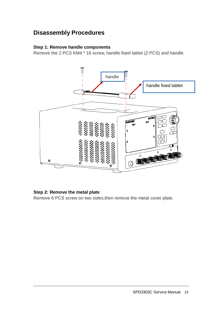## <span id="page-16-0"></span>**Disassembly Procedures**

#### **Step 1: Remove handle components**

Remove the 2 PCS KM4 \* 16 screw, handle fixed tablet (2 PCS) and handle.



#### **Step 2: Remove the metal plate**

Remove 6 PCS screw on two sides,then remove the metal cover plate.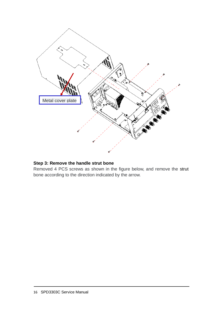

#### **Step 3: Remove the handle strut bone**

Removed 4 PCS screws as shown in the figure below, and remove the strut bone according to the direction indicated by the arrow.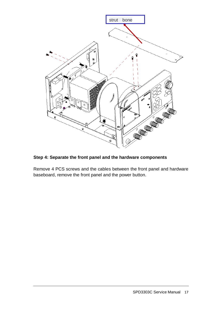

#### **Step 4: Separate the front panel and the hardware components**

Remove 4 PCS screws and the cables between the front panel and hardware baseboard, remove the front panel and the power button.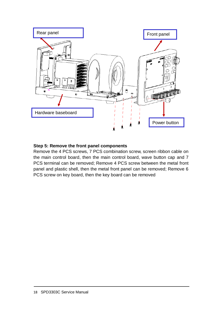

#### **Step 5: Remove the front panel components**

Remove the 4 PCS screws, 7 PCS combination screw, screen ribbon cable on the main control board, then the main control board, wave button cap and 7 PCS terminal can be removed; Remove 4 PCS screw between the metal front panel and plastic shell, then the metal front panel can be removed; Remove 6 PCS screw on key board, then the key board can be removed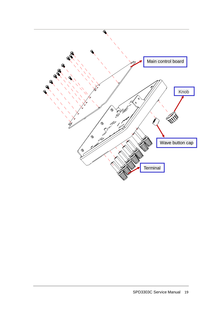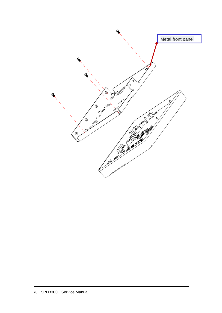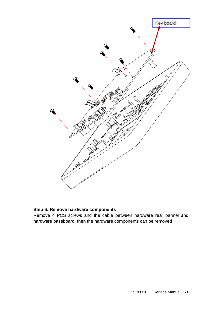

#### **Step 6: Remove hardware components**

Remove 4 PCS screws and the cable between hardware rear pannel and hardware baseboard, then the hardware components can be removed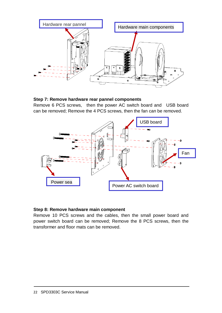

#### **Step 7: Remove hardware rear pannel components**

Remove 6 PCS screws, then the power AC switch board and USB board can be removed; Remove the 4 PCS screws, then the fan can be removed.



#### **Step 8: Remove hardware main component**

Remove 10 PCS screws and the cables, then the small power board and power switch board can be removed; Remove the 8 PCS screws, then the transformer and floor mats can be removed.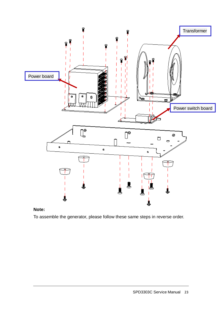

#### **Note:**

To assemble the generator, please follow these same steps in reverse order.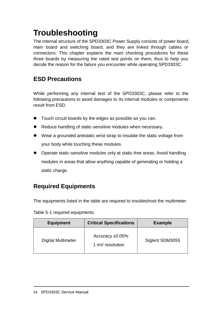## <span id="page-25-0"></span>**Troubleshooting**

The internal structure of the SPD3303C Power Supply consists of power board, main board and switching board, and they are linked through cables or connectors. This chapter explains the main checking procedures for these three boards by measuring the rated test points on them, thus to help you decide the reason for the failure you encounter while operating SPD3303C.

## <span id="page-25-1"></span>**ESD Precautions**

While performing any internal test of the SPD3303C, please refer to the following precautions to avoid damages to its internal modules or components result from ESD.

- Touch circuit boards by the edges as possible as you can.
- Reduce handling of static-sensitive modules when necessary. .
- Wear a grounded antistatic wrist strap to insulate the static voltage from your body while touching these modules.
- Operate static-sensitive modules only at static-free areas. Avoid handling modules in areas that allow anything capable of generating or holding a static charge.

## <span id="page-25-2"></span>**Required Equipments**

The equipments listed in the table are required to troubleshoot the multimeter.

| <b>Equipment</b>          | <b>Critical Specifications</b>           | <b>Example</b>  |
|---------------------------|------------------------------------------|-----------------|
| <b>Digital Multimeter</b> | Accuracy $\pm 0.05\%$<br>1 mV resolution | Siglent SDM3055 |

|  | Table 5-1 required equipments |
|--|-------------------------------|
|  |                               |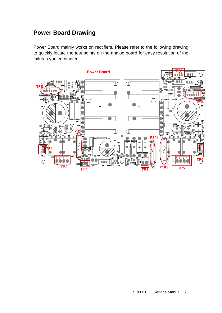## <span id="page-26-0"></span>**Power Board Drawing**

Power Board mainly works on rectifiers. Please refer to the following drawing to quickly locate the test points on the analog board for easy resolution of the failures you encounter.

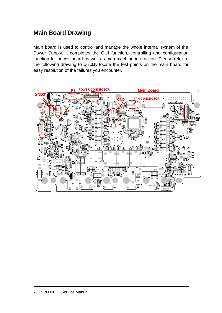## <span id="page-27-0"></span>**Main Board Drawing**

Main board is used to control and manage the whole internal system of the Power Supply. It completes the GUI function, controlling and configuration function for power board as well as man-machine interaction. Please refer to the following drawing to quickly locate the test points on the main board for easy resolution of the failures you encounter.

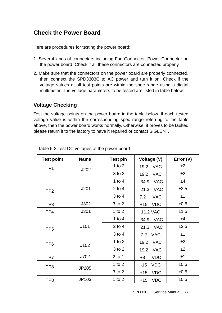## <span id="page-28-0"></span>**Check the Power Board**

Here are procedures for testing the power board:

- 1. Several kinds of connectors including Fan Connector, Power Connector on the power board. Check if all these connectors are connected properly.
- 2. Make sure that the connectors on the power board are properly connected, then connect the SPD3303C to AC power and turn it on. Check if the voltage values at all test points are within the spec range using a digital multimeter. The voltage parameters to be tested are listed in table below:

#### <span id="page-28-1"></span>**Voltage Checking**

Test the voltage points on the power board in the table below. If each tested voltage value is within the corresponding spec range referring to the table above, then the power board works normally. Otherwise, it proves to be faulted, please return it to the factory to have it repaired or contact SIGLENT.

| <b>Test point</b> | <b>Name</b>  | <b>Test pin</b> | Voltage (V)         | Error (V) |
|-------------------|--------------|-----------------|---------------------|-----------|
| TP <sub>1</sub>   | J202         | 1 to $2$        | 19.2 VAC            | ±2        |
|                   |              | $3$ to $2$      | <b>VAC</b><br>19.2  | ±2        |
|                   |              | 1 to $4$        | <b>VAC</b><br>34.9  | ±4        |
| TP <sub>2</sub>   | J201         | $2$ to 4        | <b>VAC</b><br>21.3  | ±2.5      |
|                   |              | $3$ to $4$      | <b>VAC</b><br>7.2   | ±1        |
| TP <sub>3</sub>   | J302         | $3$ to $2$      | <b>VDC</b><br>$+15$ | ±0.5      |
| TP4               | J301         | 1 to $2$        | <b>11.2 VAC</b>     | ±1.5      |
|                   |              | 1 to $4$        | <b>VAC</b><br>34.9  | ±4        |
| TP <sub>5</sub>   | J101         | $2$ to $4$      | <b>VAC</b><br>21.3  | ±2.5      |
|                   |              | $3$ to $4$      | 7.2<br><b>VAC</b>   | ±1        |
| TP <sub>6</sub>   | J102         | 1 to $2$        | <b>VAC</b><br>19.2  | ±2        |
|                   |              | $3$ to $2$      | <b>VAC</b><br>19.2  | ±2        |
| TP7               | J702         | $2$ to 1        | <b>VDC</b><br>$+8$  | ±1        |
| TP <sub>8</sub>   | <b>JP205</b> | 1 to $2$        | <b>VDC</b><br>$-15$ | ±0.5      |
|                   |              | $3$ to $2$      | <b>VDC</b><br>$+15$ | ±0.5      |
| TP <sub>8</sub>   | JP103        | 1 to $2$        | <b>VDC</b><br>$+15$ | ±0.5      |

Table 5-3 Test DC voltages of the power board

SPD3303C Service Manual 27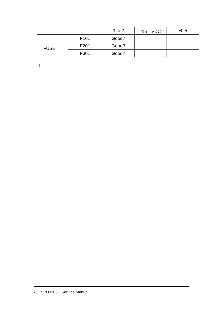|             |                  | 3 to 2 | $-15$ VDC | ±0.5 |
|-------------|------------------|--------|-----------|------|
|             | F <sub>101</sub> | Good?  |           |      |
| <b>FUSE</b> | F <sub>201</sub> | Good?  |           |      |
|             | F301             | Good?  |           |      |

I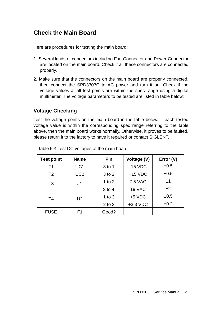## <span id="page-30-0"></span>**Check the Main Board**

Here are procedures for testing the main board:

- 1. Several kinds of connectors including Fan Connector and Power Connector are located on the main board. Check if all these connectors are connected properly.
- 2. Make sure that the connectors on the main board are properly connected, then connect the SPD3303C to AC power and turn it on. Check if the voltage values at all test points are within the spec range using a digital multimeter. The voltage parameters to be tested are listed in table below:

#### <span id="page-30-1"></span>**Voltage Checking**

Test the voltage points on the main board in the table below. If each tested voltage value is within the corresponding spec range referring to the table above, then the main board works normally. Otherwise, it proves to be faulted, please return it to the factory to have it repaired or contact SIGLENT.

| <b>Test point</b> | <b>Name</b>     | Pin        | Voltage (V)    | Error (V) |
|-------------------|-----------------|------------|----------------|-----------|
| T <sub>1</sub>    | UC <sub>1</sub> | 3 to 1     | $-15$ VDC      | ±0.5      |
| T <sub>2</sub>    | UC <sub>2</sub> | 3 to 2     | $+15$ VDC      | ±0.5      |
| T <sub>3</sub>    | J <sub>1</sub>  | 1 to $2$   | <b>7.5 VAC</b> | ±1        |
|                   |                 | $3$ to $4$ | <b>19 VAC</b>  | ±2        |
| T <sub>4</sub>    | U <sub>2</sub>  | 1 to $3$   | $+5$ VDC       | ±0.5      |
|                   |                 | $2$ to $3$ | $+3.3$ VDC     | ±0.2      |
| <b>FUSE</b>       | F1              | Good?      |                |           |

Table 5-4 Test DC voltages of the main board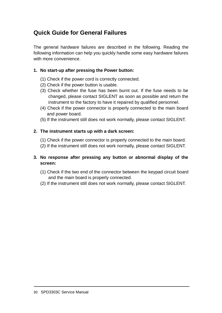## <span id="page-31-0"></span>**Quick Guide for General Failures**

The general hardware failures are described in the following. Reading the following information can help you quickly handle some easy hardware failures with more convenience.

#### **1. No start-up after pressing the Power button:**

- (1) Check if the power cord is correctly connected.
- (2) Check if the power button is usable.
- (3) Check whether the fuse has been burnt out. If the fuse needs to be changed, please contact SIGLENT as soon as possible and return the instrument to the factory to have it repaired by qualified personnel.
- (4) Check if the power connector is properly connected to the main board and power board.
- (5) If the instrument still does not work normally, please contact SIGLENT.

#### **2. The instrument starts up with a dark screen:**

- (1) Check if the power connector is properly connected to the main board.
- (2) If the instrument still does not work normally, please contact SIGLENT.

#### **3. No response after pressing any button or abnormal display of the screen:**

- (1) Check if the two end of the connector between the keypad circuit board and the main board is properly connected.
- (2) If the instrument still does not work normally, please contact SIGLENT.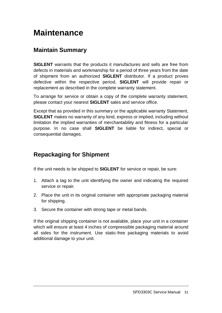## <span id="page-32-0"></span>**Maintenance**

## <span id="page-32-1"></span>**Maintain Summary**

**SIGLENT** warrants that the products it manufactures and sells are free from defects in materials and workmanship for a period of three years from the date of shipment from an authorized **SIGLENT** distributor. If a product proves defective within the respective period, **SIGLENT** will provide repair or replacement as described in the complete warranty statement.

To arrange for service or obtain a copy of the complete warranty statement, please contact your nearest **SIGLENT** sales and service office.

Except that as provided in this summary or the applicable warranty Statement, **SIGLENT** makes no warranty of any kind, express or implied, including without limitation the implied warranties of merchantability and fitness for a particular purpose. In no case shall **SIGLENT** be liable for indirect, special or consequential damages.

## <span id="page-32-2"></span>**Repackaging for Shipment**

If the unit needs to be shipped to **SIGLENT** for service or repair, be sure:

- 1. Attach a tag to the unit identifying the owner and indicating the required service or repair.
- 2. Place the unit in its original container with appropriate packaging material for shipping.
- 3. Secure the container with strong tape or metal bands.

If the original shipping container is not available, place your unit in a container which will ensure at least 4 inches of compressible packaging material around all sides for the instrument. Use static-free packaging materials to avoid additional damage to your unit.